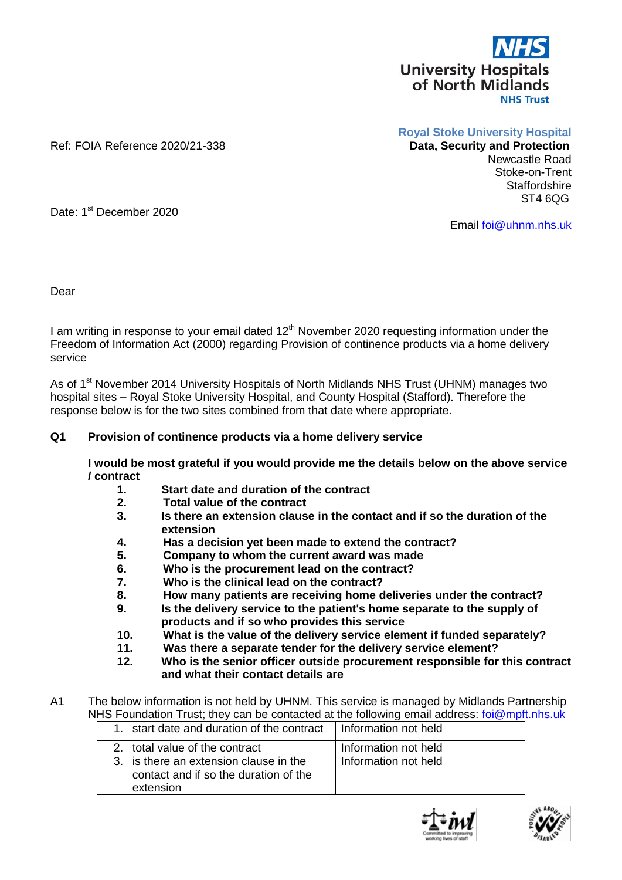

Ref: FOIA Reference 2020/21-338

**Royal Stoke University Hospital**

## Newcastle Road Stoke-on-Trent **Staffordshire** ST4 6QG

Date: 1<sup>st</sup> December 2020

Email [foi@uhnm.nhs.uk](mailto:foi@uhnm.nhs.uk)

Dear

I am writing in response to your email dated 12<sup>th</sup> November 2020 requesting information under the Freedom of Information Act (2000) regarding Provision of continence products via a home delivery service

As of 1<sup>st</sup> November 2014 University Hospitals of North Midlands NHS Trust (UHNM) manages two hospital sites – Royal Stoke University Hospital, and County Hospital (Stafford). Therefore the response below is for the two sites combined from that date where appropriate.

## **Q1 Provision of continence products via a home delivery service**

**I would be most grateful if you would provide me the details below on the above service / contract** 

- **1. Start date and duration of the contract**
- **2. Total value of the contract**
- **3. Is there an extension clause in the contact and if so the duration of the extension**
- **4. Has a decision yet been made to extend the contract?**
- **5. Company to whom the current award was made**
- **6. Who is the procurement lead on the contract?**
- **7. Who is the clinical lead on the contract?**
- **8. How many patients are receiving home deliveries under the contract?**
- **9. Is the delivery service to the patient's home separate to the supply of products and if so who provides this service**
- **10. What is the value of the delivery service element if funded separately?**
- **11. Was there a separate tender for the delivery service element?**
- **12. Who is the senior officer outside procurement responsible for this contract and what their contact details are**
- A1 The below information is not held by UHNM. This service is managed by Midlands Partnership NHS Foundation Trust; they can be contacted at the following email address: [foi@mpft.nhs.uk](mailto:foi@mpft.nhs.uk) 1. start date and duration of the contract Information not held

| T. Start date and duration of the contract Thinomation not held.                             |                      |
|----------------------------------------------------------------------------------------------|----------------------|
| 2. total value of the contract                                                               | Information not held |
| 3. is there an extension clause in the<br>contact and if so the duration of the<br>extension | Information not held |



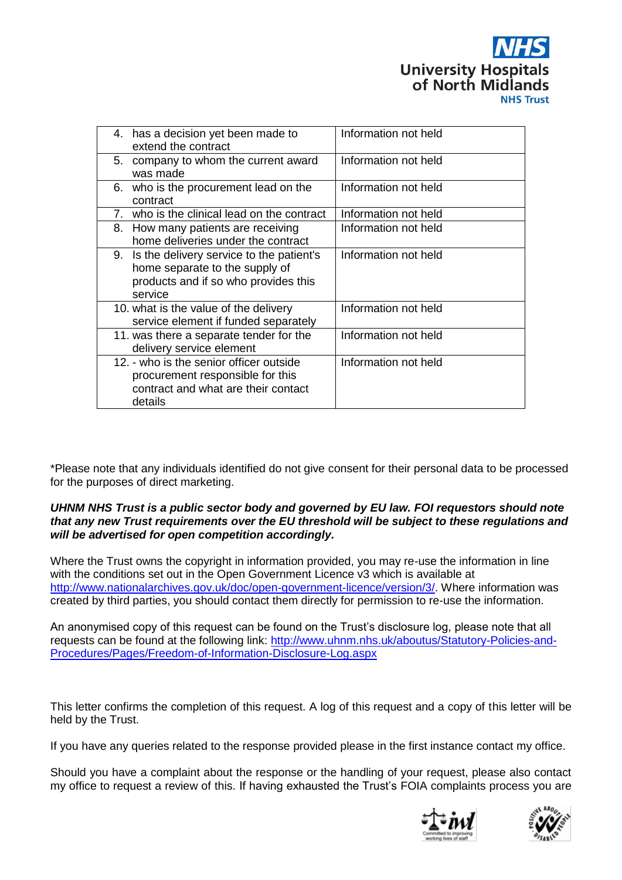

|    | 4. has a decision yet been made to<br>extend the contract                                                                        | Information not held |
|----|----------------------------------------------------------------------------------------------------------------------------------|----------------------|
|    | 5. company to whom the current award<br>was made                                                                                 | Information not held |
|    | 6. who is the procurement lead on the<br>contract                                                                                | Information not held |
| 7. | who is the clinical lead on the contract                                                                                         | Information not held |
|    | 8. How many patients are receiving<br>home deliveries under the contract                                                         | Information not held |
|    | 9. Is the delivery service to the patient's<br>home separate to the supply of<br>products and if so who provides this<br>service | Information not held |
|    | 10. what is the value of the delivery<br>service element if funded separately                                                    | Information not held |
|    | 11. was there a separate tender for the<br>delivery service element                                                              | Information not held |
|    | 12. - who is the senior officer outside<br>procurement responsible for this<br>contract and what are their contact<br>details    | Information not held |

\*Please note that any individuals identified do not give consent for their personal data to be processed for the purposes of direct marketing.

## *UHNM NHS Trust is a public sector body and governed by EU law. FOI requestors should note that any new Trust requirements over the EU threshold will be subject to these regulations and will be advertised for open competition accordingly.*

Where the Trust owns the copyright in information provided, you may re-use the information in line with the conditions set out in the Open Government Licence v3 which is available at [http://www.nationalarchives.gov.uk/doc/open-government-licence/version/3/.](http://www.nationalarchives.gov.uk/doc/open-government-licence/version/3/) Where information was created by third parties, you should contact them directly for permission to re-use the information.

An anonymised copy of this request can be found on the Trust's disclosure log, please note that all requests can be found at the following link: [http://www.uhnm.nhs.uk/aboutus/Statutory-Policies-and-](http://www.uhnm.nhs.uk/aboutus/Statutory-Policies-and-Procedures/Pages/Freedom-of-Information-Disclosure-Log.aspx)[Procedures/Pages/Freedom-of-Information-Disclosure-Log.aspx](http://www.uhnm.nhs.uk/aboutus/Statutory-Policies-and-Procedures/Pages/Freedom-of-Information-Disclosure-Log.aspx)

This letter confirms the completion of this request. A log of this request and a copy of this letter will be held by the Trust.

If you have any queries related to the response provided please in the first instance contact my office.

Should you have a complaint about the response or the handling of your request, please also contact my office to request a review of this. If having exhausted the Trust's FOIA complaints process you are